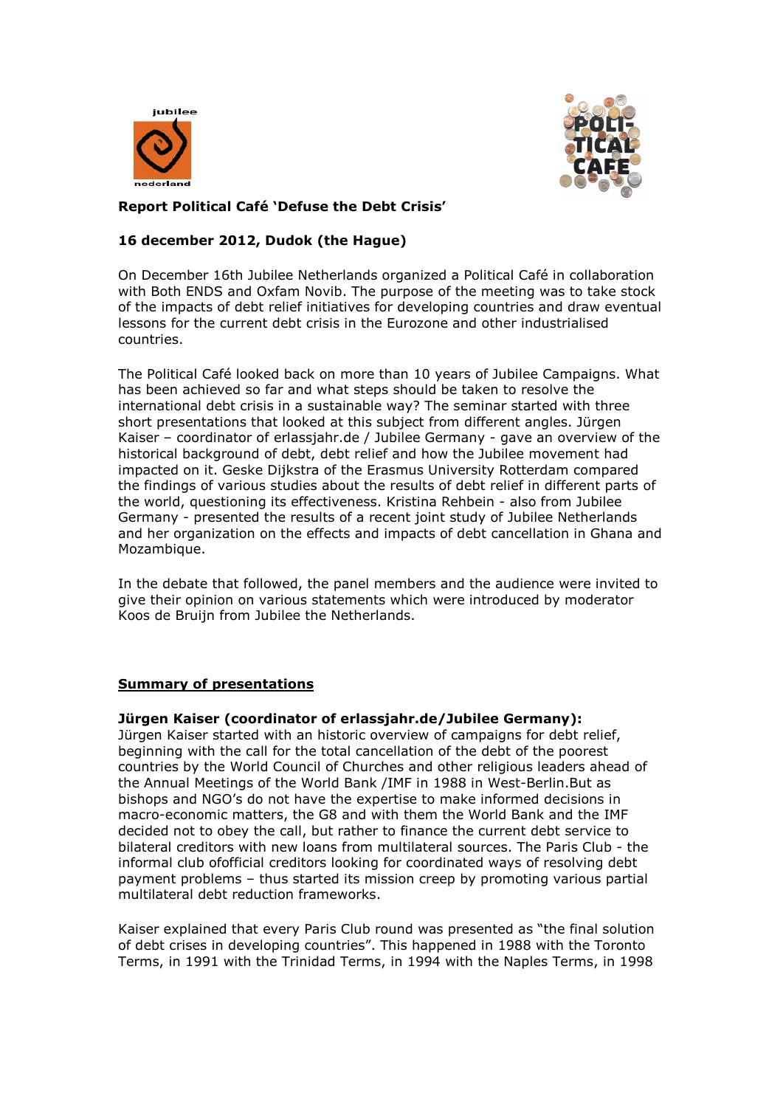



# **Report Political Café 'Defuse the Debt Crisis'**

# **16 december 2012, Dudok (the Hague)**

On December 16th Jubilee Netherlands organized a Political Café in collaboration with Both ENDS and Oxfam Novib. The purpose of the meeting was to take stock of the impacts of debt relief initiatives for developing countries and draw eventual lessons for the current debt crisis in the Eurozone and other industrialised countries.

The Political Café looked back on more than 10 years of Jubilee Campaigns. What has been achieved so far and what steps should be taken to resolve the international debt crisis in a sustainable way? The seminar started with three short presentations that looked at this subject from different angles. Jürgen Kaiser – coordinator of erlassjahr.de / Jubilee Germany - gave an overview of the historical background of debt, debt relief and how the Jubilee movement had impacted on it. Geske Dijkstra of the Erasmus University Rotterdam compared the findings of various studies about the results of debt relief in different parts of the world, questioning its effectiveness. Kristina Rehbein - also from Jubilee Germany - presented the results of a recent joint study of Jubilee Netherlands and her organization on the effects and impacts of debt cancellation in Ghana and Mozambique.

In the debate that followed, the panel members and the audience were invited to give their opinion on various statements which were introduced by moderator Koos de Bruijn from Jubilee the Netherlands.

## **Summary of presentations**

#### **Jürgen Kaiser (coordinator of erlassjahr.de/Jubilee Germany):**

Jürgen Kaiser started with an historic overview of campaigns for debt relief, beginning with the call for the total cancellation of the debt of the poorest countries by the World Council of Churches and other religious leaders ahead of the Annual Meetings of the World Bank /IMF in 1988 in West-Berlin.But as bishops and NGO's do not have the expertise to make informed decisions in macro-economic matters, the G8 and with them the World Bank and the IMF decided not to obey the call, but rather to finance the current debt service to bilateral creditors with new loans from multilateral sources. The Paris Club - the informal club ofofficial creditors looking for coordinated ways of resolving debt payment problems – thus started its mission creep by promoting various partial multilateral debt reduction frameworks.

Kaiser explained that every Paris Club round was presented as "the final solution of debt crises in developing countries". This happened in 1988 with the Toronto Terms, in 1991 with the Trinidad Terms, in 1994 with the Naples Terms, in 1998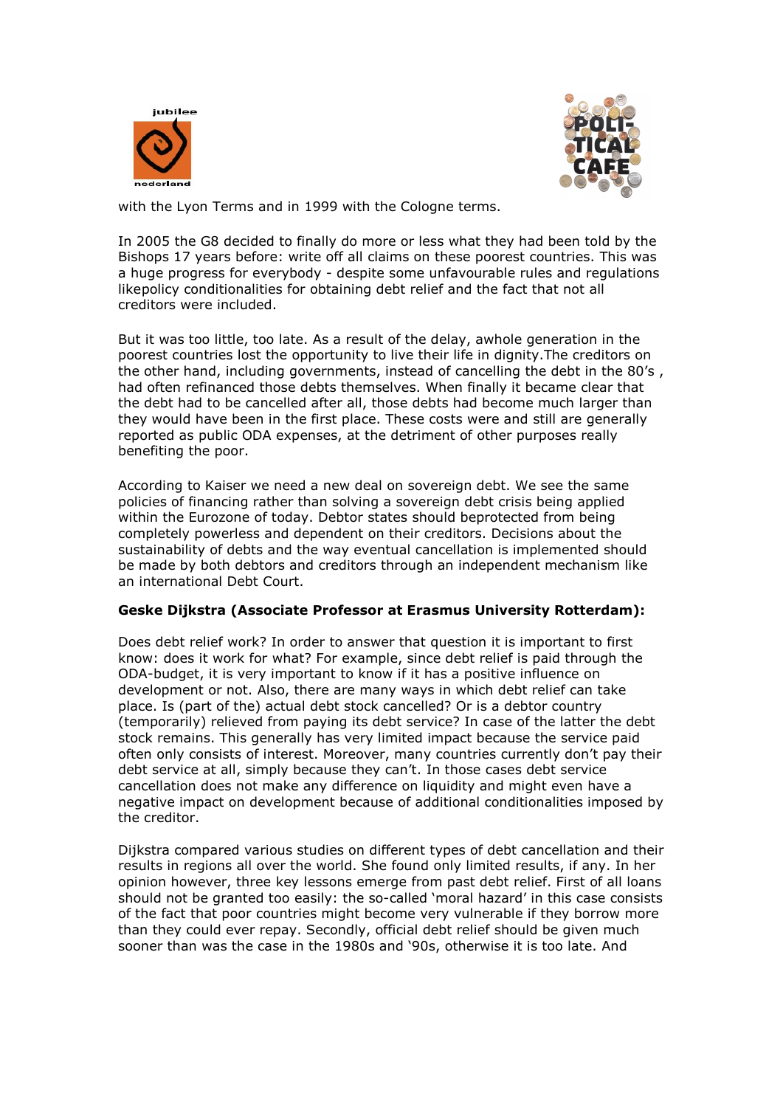



with the Lyon Terms and in 1999 with the Cologne terms.

In 2005 the G8 decided to finally do more or less what they had been told by the Bishops 17 years before: write off all claims on these poorest countries. This was a huge progress for everybody - despite some unfavourable rules and regulations like policy conditionalities for obtaining debt relief and the fact that not all creditors were included.

But it was too little, too late. As a result of the delay, awhole generation in the poorest countries lost the opportunity to live their life in dignity.The creditors on the other hand, including governments, instead of cancelling the debt in the 80's , had often refinanced those debts themselves. When finally it became clear that the debt had to be cancelled after all, those debts had become much larger than they would have been in the first place. These costs were and still are generally reported as public ODA expenses, at the detriment of other purposes really benefiting the poor.

According to Kaiser we need a new deal on sovereign debt. We see the same policies of financing rather than solving a sovereign debt crisis being applied within the Eurozone of today. Debtor states should beprotected from being completely powerless and dependent on their creditors. Decisions about the sustainability of debts and the way eventual cancellation is implemented should be made by both debtors and creditors through an independent mechanism like an international Debt Court.

## **Geske Dijkstra (Associate Professor at Erasmus University Rotterdam):**

Does debt relief work? In order to answer that question it is important to first know: does it work for what? For example, since debt relief is paid through the ODA-budget, it is very important to know if it has a positive influence on development or not. Also, there are many ways in which debt relief can take place. Is (part of the) actual debt stock cancelled? Or is a debtor country (temporarily) relieved from paying its debt service? In case of the latter the debt stock remains. This generally has very limited impact because the service paid often only consists of interest. Moreover, many countries currently don't pay their debt service at all, simply because they can't. In those cases debt service cancellation does not make any difference on liquidity and might even have a negative impact on development because of additional conditionalities imposed by the creditor.

Dijkstra compared various studies on different types of debt cancellation and their results in regions all over the world. She found only limited results, if any. In her opinion however, three key lessons emerge from past debt relief. First of all loans should not be granted too easily: the so-called 'moral hazard' in this case consists of the fact that poor countries might become very vulnerable if they borrow more than they could ever repay. Secondly, official debt relief should be given much sooner than was the case in the 1980s and '90s, otherwise it is too late. And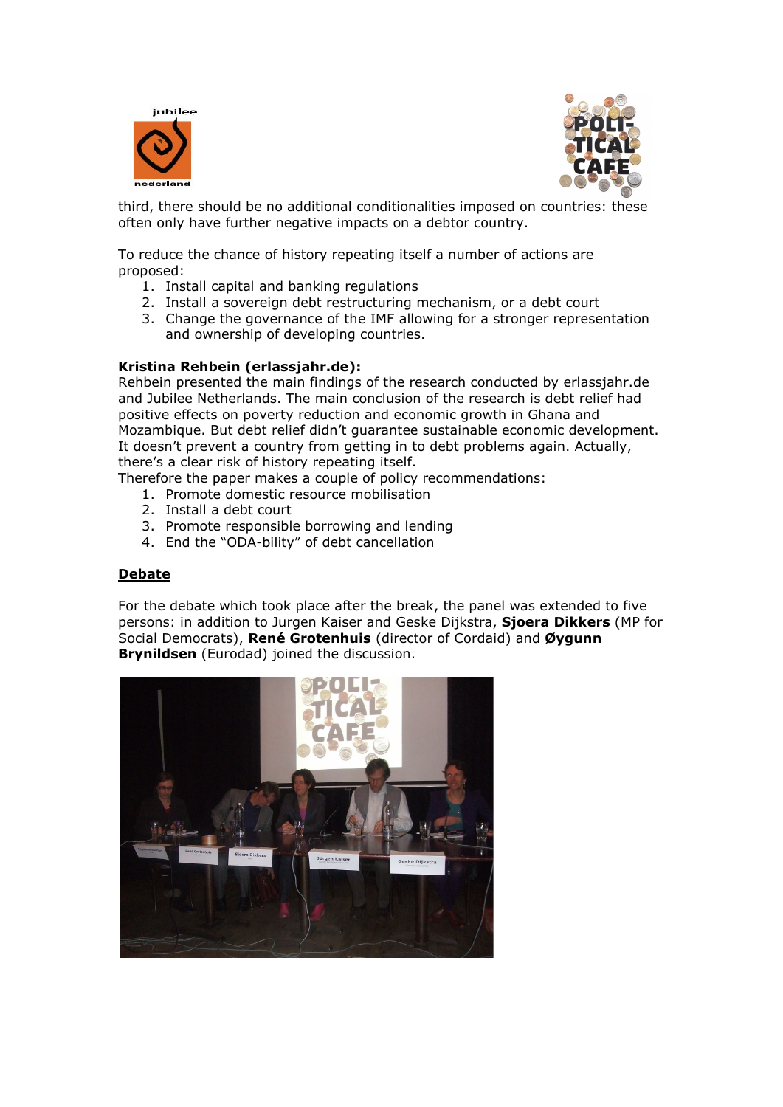



third, there should be no additional conditionalities imposed on countries: these often only have further negative impacts on a debtor country.

To reduce the chance of history repeating itself a number of actions are proposed:

- 1. Install capital and banking regulations
- 2. Install a sovereign debt restructuring mechanism, or a debt court
- 3. Change the governance of the IMF allowing for a stronger representation and ownership of developing countries.

#### **Kristina Rehbein (erlassjahr.de):**

Rehbein presented the main findings of the research conducted by erlassjahr.de and Jubilee Netherlands. The main conclusion of the research is debt relief had positive effects on poverty reduction and economic growth in Ghana and Mozambique. But debt relief didn't guarantee sustainable economic development. It doesn't prevent a country from getting in to debt problems again. Actually, there's a clear risk of history repeating itself.

Therefore the paper makes a couple of policy recommendations:

- 1. Promote domestic resource mobilisation
- 2. Install a debt court
- 3. Promote responsible borrowing and lending
- 4. End the "ODA-bility" of debt cancellation

## **Debate**

For the debate which took place after the break, the panel was extended to five persons: in addition to Jurgen Kaiser and Geske Dijkstra, **Sjoera Dikkers** (MP for Social Democrats), **René Grotenhuis** (director of Cordaid) and **Øygunn Brynildsen** (Eurodad) joined the discussion.

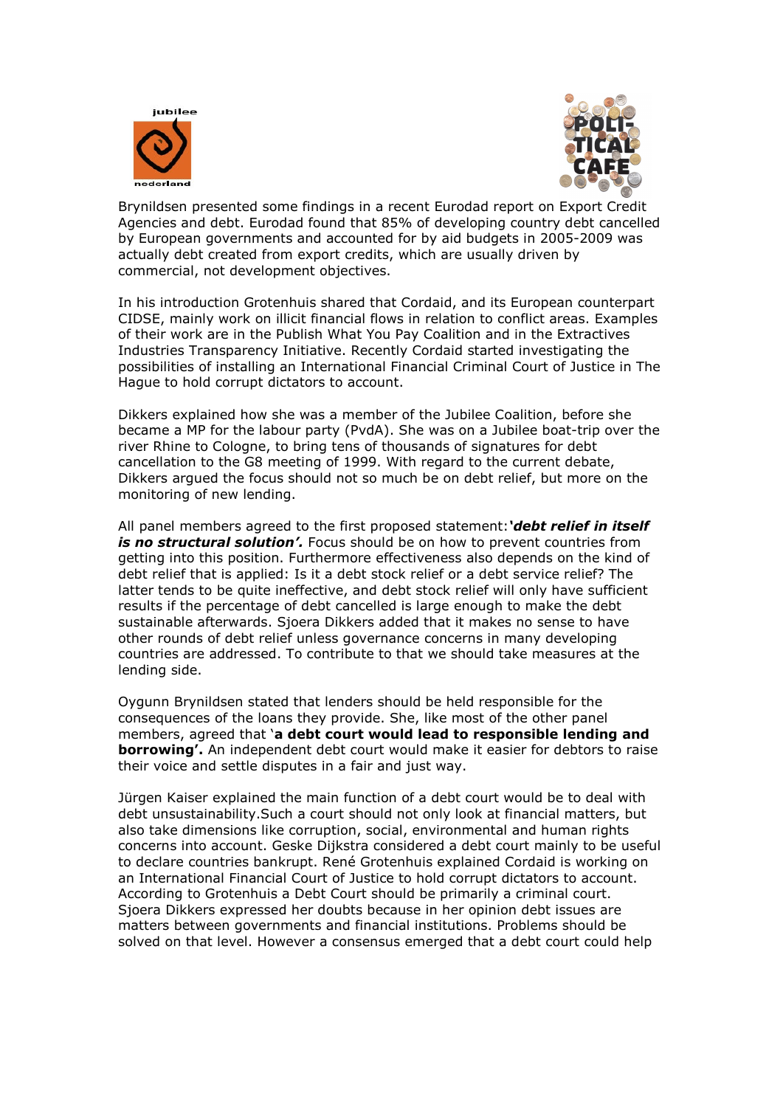



Brynildsen presented some findings in a recent Eurodad report on Export Credit Agencies and debt. Eurodad found that 85% of developing country debt cancelled by European governments and accounted for by aid budgets in 2005-2009 was actually debt created from export credits, which are usually driven by commercial, not development objectives.

In his introduction Grotenhuis shared that Cordaid, and its European counterpart CIDSE, mainly work on illicit financial flows in relation to conflict areas. Examples of their work are in the Publish What You Pay Coalition and in the Extractives Industries Transparency Initiative. Recently Cordaid started investigating the possibilities of installing an International Financial Criminal Court of Justice in The Hague to hold corrupt dictators to account.

Dikkers explained how she was a member of the Jubilee Coalition, before she became a MP for the labour party (PvdA). She was on a Jubilee boat-trip over the river Rhine to Cologne, to bring tens of thousands of signatures for debt cancellation to the G8 meeting of 1999. With regard to the current debate, Dikkers argued the focus should not so much be on debt relief, but more on the monitoring of new lending.

All panel members agreed to the first proposed statement:*'debt relief in itself is no structural solution'.* Focus should be on how to prevent countries from getting into this position. Furthermore effectiveness also depends on the kind of debt relief that is applied: Is it a debt stock relief or a debt service relief? The latter tends to be quite ineffective, and debt stock relief will only have sufficient results if the percentage of debt cancelled is large enough to make the debt sustainable afterwards. Sjoera Dikkers added that it makes no sense to have other rounds of debt relief unless governance concerns in many developing countries are addressed. To contribute to that we should take measures at the lending side.

Oygunn Brynildsen stated that lenders should be held responsible for the consequences of the loans they provide. She, like most of the other panel members, agreed that '**a debt court would lead to responsible lending and borrowing'.** An independent debt court would make it easier for debtors to raise their voice and settle disputes in a fair and just way.

Jürgen Kaiser explained the main function of a debt court would be to deal with debt unsustainability.Such a court should not only look at financial matters, but also take dimensions like corruption, social, environmental and human rights concerns into account. Geske Dijkstra considered a debt court mainly to be useful to declare countries bankrupt. René Grotenhuis explained Cordaid is working on an International Financial Court of Justice to hold corrupt dictators to account. According to Grotenhuis a Debt Court should be primarily a criminal court. Sjoera Dikkers expressed her doubts because in her opinion debt issues are matters between governments and financial institutions. Problems should be solved on that level. However a consensus emerged that a debt court could help